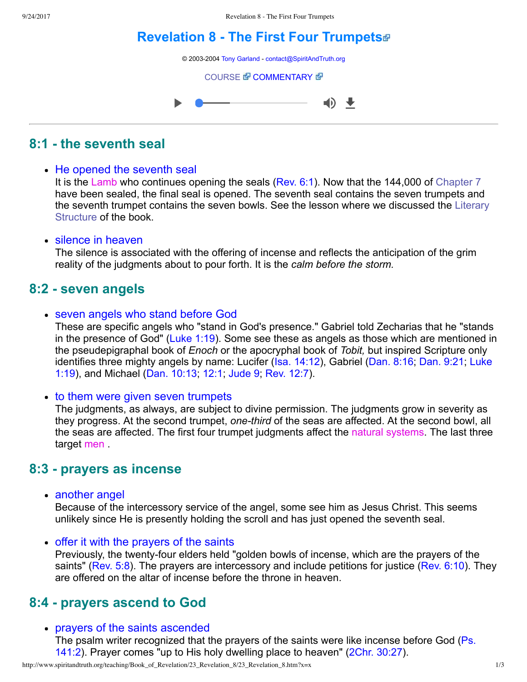# **[Revelation 8 The First Four Trumpets](http://www.spiritandtruth.org/teaching/Book_of_Revelation/23_Revelation_8/index.htm)**

© 2003-2004 [Tony Garland](http://www.spiritandtruth.org/teaching/teachers/tony_garland/bio.htm) - [contact@SpiritAndTruth.org](mailto:contact@SpiritAndTruth.org?subject=ST-MAIL:%20Revelation%208%20-%20The%20First%20Four%20Trumpets)

**[COURSE](http://www.spiritandtruth.org/teaching/Book_of_Revelation/23_Revelation_8/index.htm) & [COMMENTARY](http://www.spiritandtruth.org/teaching/Book_of_Revelation/commentary/htm/index.html?Revelation_8) &** 



## **8:1 the seventh seal**

### • He opened the seventh seal

It is the Lamb who continues opening the seals [\(Rev. 6:1\)](http://www.spiritandtruth.org/bibles/nasb/b66c006.htm#Rev._C6V1). Now that the 144,000 of [Chapter 7](http://www.spiritandtruth.org/teaching/Book_of_Revelation/22_Revelation_7/index.htm) have been sealed, the final seal is opened. The seventh seal contains the seven trumpets and [the seventh trumpet contains the seven bowls. See the lesson where we discussed the Literary](http://www.spiritandtruth.org/teaching/Book_of_Revelation/05_introduction/index.htm) Structure of the book.

### • silence in heaven

The silence is associated with the offering of incense and reflects the anticipation of the grim reality of the judgments about to pour forth. It is the *calm before the storm.*

### **8:2 seven angels**

• seven angels who stand before God

These are specific angels who "stand in God's presence." Gabriel told Zecharias that he "stands in the presence of God" [\(Luke 1:19\)](http://www.spiritandtruth.org/bibles/nasb/b42c001.htm#Luke_C1V19). Some see these as angels as those which are mentioned in the pseudepigraphal book of *Enoch* or the apocryphal book of *Tobit,* but inspired Scripture only [identifies three mighty angels by name: Lucifer \(Isa. 14:12\), Gabriel \(Dan. 8:16; Dan. 9:21; Luke](http://www.spiritandtruth.org/bibles/nasb/b42c001.htm#Luke_C1V19) 1:19), and Michael [\(Dan. 10:13;](http://www.spiritandtruth.org/bibles/nasb/b27c010.htm#Dan._C10V13) [12:1;](http://www.spiritandtruth.org/bibles/nasb/b27c012.htm#Dan._C12V1) [Jude 9;](http://www.spiritandtruth.org/bibles/nasb/b65c001.htm#Jude_C1V9) [Rev. 12:7\)](http://www.spiritandtruth.org/bibles/nasb/b66c012.htm#Rev._C12V7).

• to them were given seven trumpets

The judgments, as always, are subject to divine permission. The judgments grow in severity as they progress. At the second trumpet, *one-third* of the seas are affected. At the second bowl, all the seas are affected. The first four trumpet judgments affect the natural systems. The last three target men .

## **8:3 prayers as incense**

• another angel

Because of the intercessory service of the angel, some see him as Jesus Christ. This seems unlikely since He is presently holding the scroll and has just opened the seventh seal.

• offer it with the prayers of the saints

Previously, the twenty-four elders held "golden bowls of incense, which are the prayers of the saints" [\(Rev. 5:8\)](http://www.spiritandtruth.org/bibles/nasb/b66c005.htm#Rev._C5V8). The prayers are intercessory and include petitions for justice ([Rev. 6:10\)](http://www.spiritandtruth.org/bibles/nasb/b66c006.htm#Rev._C6V10). They are offered on the altar of incense before the throne in heaven.

## **8:4 prayers ascend to God**

### prayers of the saints ascended

[The psalm writer recognized that the prayers of the saints were like incense before God \(Ps.](http://www.spiritandtruth.org/bibles/nasb/b19c141.htm#Ps._C141V2) 141:2). Prayer comes "up to His holy dwelling place to heaven" ([2Chr. 30:27\)](http://www.spiritandtruth.org/bibles/nasb/b14c030.htm#2Chr._C30V27).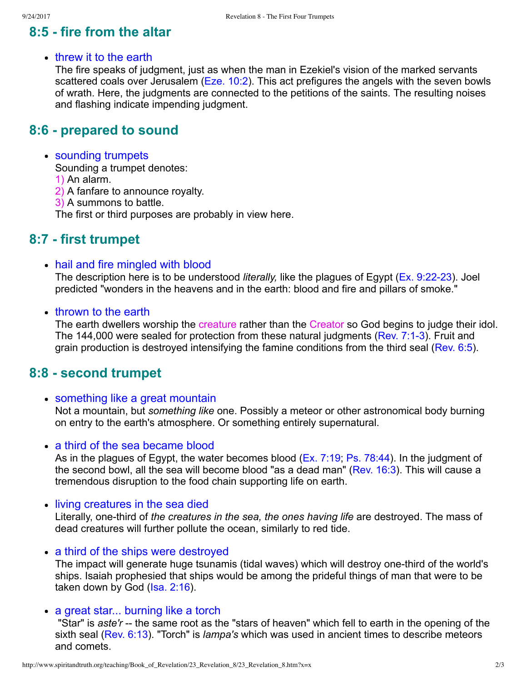# **8:5 fire from the altar**

### • threw it to the earth

The fire speaks of judgment, just as when the man in Ezekiel's vision of the marked servants scattered coals over Jerusalem [\(Eze. 10:2](http://www.spiritandtruth.org/bibles/nasb/b26c010.htm#Eze._C10V2)). This act prefigures the angels with the seven bowls of wrath. Here, the judgments are connected to the petitions of the saints. The resulting noises and flashing indicate impending judgment.

### **8:6 prepared to sound**

### • sounding trumpets

Sounding a trumpet denotes:

1) An alarm.

2) A fanfare to announce royalty.

3) A summons to battle.

The first or third purposes are probably in view here.

### **8:7 first trumpet**

• hail and fire mingled with blood

The description here is to be understood *literally*, like the plagues of Egypt (Ex. 9:22-23). Joel predicted "wonders in the heavens and in the earth: blood and fire and pillars of smoke."

#### • thrown to the earth

The earth dwellers worship the creature rather than the Creator so God begins to judge their idol. The 144,000 were sealed for protection from these natural judgments (Rev. 7:1-3). Fruit and grain production is destroyed intensifying the famine conditions from the third seal [\(Rev. 6:5](http://www.spiritandtruth.org/bibles/nasb/b66c006.htm#Rev._C6V5)).

### **8:8 second trumpet**

#### • something like a great mountain

Not a mountain, but *something like* one. Possibly a meteor or other astronomical body burning on entry to the earth's atmosphere. Or something entirely supernatural.

#### • a third of the sea became blood

As in the plagues of Egypt, the water becomes blood ([Ex. 7:19;](http://www.spiritandtruth.org/bibles/nasb/b02c007.htm#Ex._C7V19) [Ps. 78:44\)](http://www.spiritandtruth.org/bibles/nasb/b19c078.htm#Ps._C78V44). In the judgment of the second bowl, all the sea will become blood "as a dead man" ([Rev. 16:3](http://www.spiritandtruth.org/bibles/nasb/b66c016.htm#Rev._C16V3)). This will cause a tremendous disruption to the food chain supporting life on earth.

#### • living creatures in the sea died

Literally, one-third of *the creatures in the sea, the ones having life* are destroyed. The mass of dead creatures will further pollute the ocean, similarly to red tide.

• a third of the ships were destroyed

The impact will generate huge tsunamis (tidal waves) which will destroy one-third of the world's ships. Isaiah prophesied that ships would be among the prideful things of man that were to be taken down by God ([Isa. 2:16\)](http://www.spiritandtruth.org/bibles/nasb/b23c002.htm#Isa._C2V16).

#### • a great star... burning like a torch

"Star" is *aste'r* -- the same root as the "stars of heaven" which fell to earth in the opening of the sixth seal [\(Rev. 6:13\)](http://www.spiritandtruth.org/bibles/nasb/b66c006.htm#Rev._C6V13). "Torch" is *lampa's* which was used in ancient times to describe meteors and comets.